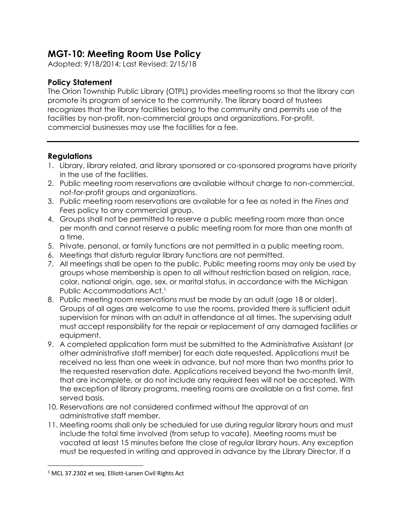## **MGT-10: Meeting Room Use Policy**

Adopted: 9/18/2014; Last Revised: 2/15/18

## **Policy Statement**

The Orion Township Public Library (OTPL) provides meeting rooms so that the library can promote its program of service to the community. The library board of trustees recognizes that the library facilities belong to the community and permits use of the facilities by non-profit, non-commercial groups and organizations. For-profit, commercial businesses may use the facilities for a fee.

## **Regulations**

- 1. Library, library related, and library sponsored or co-sponsored programs have priority in the use of the facilities.
- 2. Public meeting room reservations are available without charge to non-commercial, not-for-profit groups and organizations.
- 3. Public meeting room reservations are available for a fee as noted in the *Fines and Fees* policy to any commercial group.
- 4. Groups shall not be permitted to reserve a public meeting room more than once per month and cannot reserve a public meeting room for more than one month at a time.
- 5. Private, personal, or family functions are not permitted in a public meeting room.
- 6. Meetings that disturb regular library functions are not permitted.
- 7. All meetings shall be open to the public. Public meeting rooms may only be used by groups whose membership is open to all without restriction based on religion, race, color, national origin, age, sex, or marital status, in accordance with the Michigan Public Accommodations Act.<sup>1</sup>
- 8. Public meeting room reservations must be made by an adult (age 18 or older). Groups of all ages are welcome to use the rooms, provided there is sufficient adult supervision for minors with an adult in attendance at all times. The supervising adult must accept responsibility for the repair or replacement of any damaged facilities or equipment.
- 9. A completed application form must be submitted to the Administrative Assistant (or other administrative staff member) for each date requested. Applications must be received no less than one week in advance, but not more than two months prior to the requested reservation date. Applications received beyond the two-month limit, that are incomplete, or do not include any required fees will not be accepted. With the exception of library programs, meeting rooms are available on a first come, first served basis.
- 10. Reservations are not considered confirmed without the approval of an administrative staff member.
- 11. Meeting rooms shall only be scheduled for use during regular library hours and must include the total time involved (from setup to vacate). Meeting rooms must be vacated at least 15 minutes before the close of regular library hours. Any exception must be requested in writing and approved in advance by the Library Director. If a

 $\overline{\phantom{a}}$ 

<sup>&</sup>lt;sup>1</sup> MCL 37.2302 et seq. Elliott-Larsen Civil Rights Act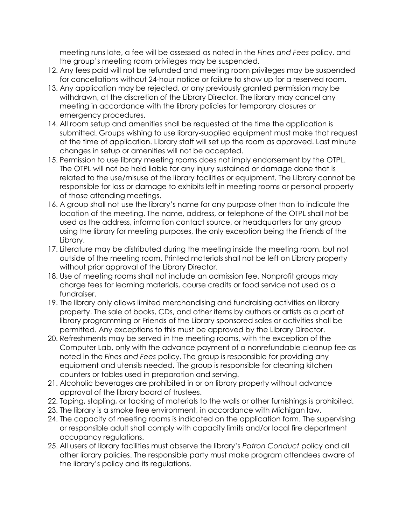meeting runs late, a fee will be assessed as noted in the *Fines and Fees* policy, and the group's meeting room privileges may be suspended.

- 12. Any fees paid will not be refunded and meeting room privileges may be suspended for cancellations without 24-hour notice or failure to show up for a reserved room.
- 13. Any application may be rejected, or any previously granted permission may be withdrawn, at the discretion of the Library Director. The library may cancel any meeting in accordance with the library policies for temporary closures or emergency procedures.
- 14. All room setup and amenities shall be requested at the time the application is submitted. Groups wishing to use library-supplied equipment must make that request at the time of application. Library staff will set up the room as approved. Last minute changes in setup or amenities will not be accepted.
- 15. Permission to use library meeting rooms does not imply endorsement by the OTPL. The OTPL will not be held liable for any injury sustained or damage done that is related to the use/misuse of the library facilities or equipment. The Library cannot be responsible for loss or damage to exhibits left in meeting rooms or personal property of those attending meetings.
- 16. A group shall not use the library's name for any purpose other than to indicate the location of the meeting. The name, address, or telephone of the OTPL shall not be used as the address, information contact source, or headquarters for any group using the library for meeting purposes, the only exception being the Friends of the Library.
- 17. Literature may be distributed during the meeting inside the meeting room, but not outside of the meeting room. Printed materials shall not be left on Library property without prior approval of the Library Director.
- 18. Use of meeting rooms shall not include an admission fee. Nonprofit groups may charge fees for learning materials, course credits or food service not used as a fundraiser.
- 19. The library only allows limited merchandising and fundraising activities on library property. The sale of books, CDs, and other items by authors or artists as a part of library programming or Friends of the Library sponsored sales or activities shall be permitted. Any exceptions to this must be approved by the Library Director.
- 20. Refreshments may be served in the meeting rooms, with the exception of the Computer Lab, only with the advance payment of a nonrefundable cleanup fee as noted in the *Fines and Fees* policy. The group is responsible for providing any equipment and utensils needed. The group is responsible for cleaning kitchen counters or tables used in preparation and serving.
- 21. Alcoholic beverages are prohibited in or on library property without advance approval of the library board of trustees.
- 22. Taping, stapling, or tacking of materials to the walls or other furnishings is prohibited.
- 23. The library is a smoke free environment, in accordance with Michigan law.
- 24. The capacity of meeting rooms is indicated on the application form. The supervising or responsible adult shall comply with capacity limits and/or local fire department occupancy regulations.
- 25. All users of library facilities must observe the library's *Patron Conduct* policy and all other library policies. The responsible party must make program attendees aware of the library's policy and its regulations.